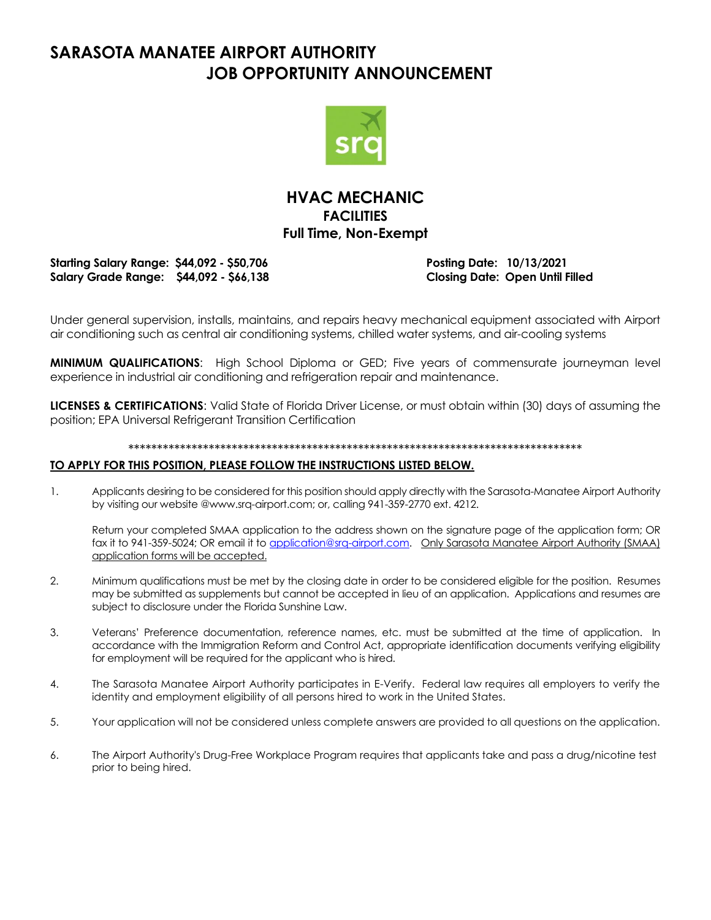### **SARASOTA MANATEE AIRPORT AUTHORITY JOB OPPORTUNITY ANNOUNCEMENT**



### **HVAC MECHANIC FACILITIES Full Time, Non-Exempt**

**Starting Salary Range: \$44,092 - \$50,706 Posting Date: 10/13/2021 Salary Grade Range: \$44,092 - \$66,138 Closing Date: Open Until Filled**

Under general supervision, installs, maintains, and repairs heavy mechanical equipment associated with Airport air conditioning such as central air conditioning systems, chilled water systems, and air-cooling systems

**MINIMUM QUALIFICATIONS**: High School Diploma or GED; Five years of commensurate journeyman level experience in industrial air conditioning and refrigeration repair and maintenance.

**LICENSES & CERTIFICATIONS**: Valid State of Florida Driver License, or must obtain within (30) days of assuming the position; EPA Universal Refrigerant Transition Certification

#### \*\*\*\*\*\*\*\*\*\*\*\*\*\*\*\*\*\*\*\*\*\*\*\*\*\*\*\*\*\*\*\*\*\*\*\*\*\*\*\*\*\*\*\*\*\*\*\*\*\*\*\*\*\*\*\*\*\*\*\*\*\*\*\*\*\*\*\*\*\*\*\*\*\*\*\*\*\*\*

#### **TO APPLY FOR THIS POSITION, PLEASE FOLLOW THE INSTRUCTIONS LISTED BELOW.**

1. Applicants desiring to be considered for this position should apply directly with the Sarasota-Manatee Airport Authority by visiting our website @www.srq-airport.com; or, calling 941-359-2770 ext. 4212.

Return your completed SMAA application to the address shown on the signature page of the application form; OR fax it to 941-359-5024; OR email it to [application@srq-airport.com.](mailto:application@srq-airport.com) Only Sarasota Manatee Airport Authority (SMAA) application forms will be accepted.

- 2. Minimum qualifications must be met by the closing date in order to be considered eligible for the position. Resumes may be submitted as supplements but cannot be accepted in lieu of an application. Applications and resumes are subject to disclosure under the Florida Sunshine Law.
- 3. Veterans' Preference documentation, reference names, etc. must be submitted at the time of application. In accordance with the Immigration Reform and Control Act, appropriate identification documents verifying eligibility for employment will be required for the applicant who is hired.
- 4. The Sarasota Manatee Airport Authority participates in E-Verify. Federal law requires all employers to verify the identity and employment eligibility of all persons hired to work in the United States.
- 5. Your application will not be considered unless complete answers are provided to all questions on the application.
- 6. The Airport Authority's Drug-Free Workplace Program requires that applicants take and pass a drug/nicotine test prior to being hired.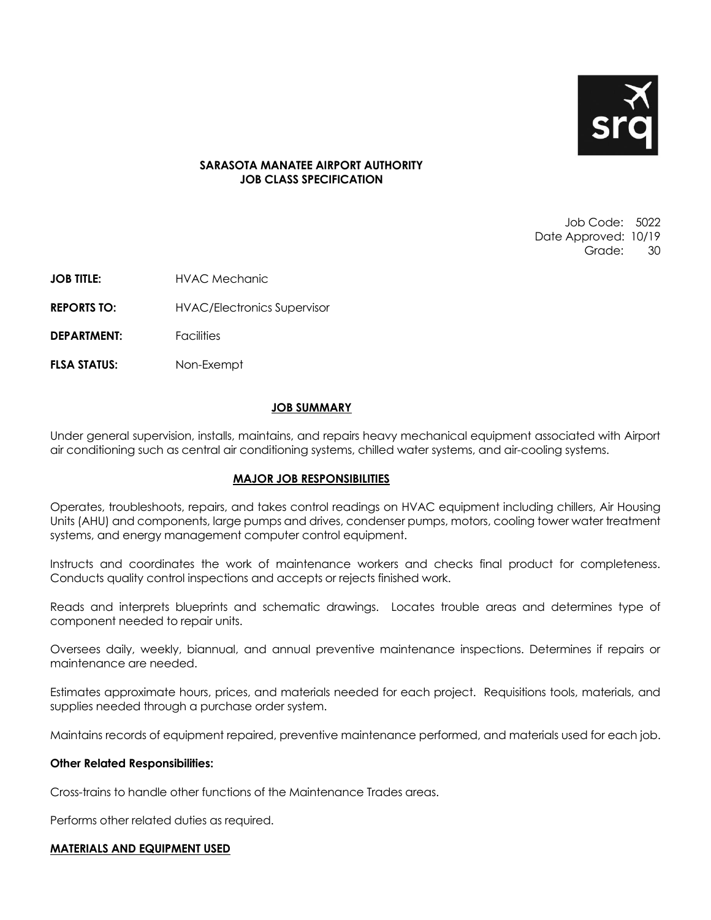

#### **SARASOTA MANATEE AIRPORT AUTHORITY JOB CLASS SPECIFICATION**

Job Code: 5022 Date Approved: 10/19 Grade: 30

**JOB TITLE: HVAC Mechanic** 

**REPORTS TO:** HVAC/Electronics Supervisor

**DEPARTMENT:** Facilities

**FLSA STATUS:** Non-Exempt

#### **JOB SUMMARY**

Under general supervision, installs, maintains, and repairs heavy mechanical equipment associated with Airport air conditioning such as central air conditioning systems, chilled water systems, and air-cooling systems.

#### **MAJOR JOB RESPONSIBILITIES**

Operates, troubleshoots, repairs, and takes control readings on HVAC equipment including chillers, Air Housing Units (AHU) and components, large pumps and drives, condenser pumps, motors, cooling tower water treatment systems, and energy management computer control equipment.

Instructs and coordinates the work of maintenance workers and checks final product for completeness. Conducts quality control inspections and accepts or rejects finished work.

Reads and interprets blueprints and schematic drawings. Locates trouble areas and determines type of component needed to repair units.

Oversees daily, weekly, biannual, and annual preventive maintenance inspections. Determines if repairs or maintenance are needed.

Estimates approximate hours, prices, and materials needed for each project. Requisitions tools, materials, and supplies needed through a purchase order system.

Maintains records of equipment repaired, preventive maintenance performed, and materials used for each job.

#### **Other Related Responsibilities:**

Cross-trains to handle other functions of the Maintenance Trades areas.

Performs other related duties as required.

#### **MATERIALS AND EQUIPMENT USED**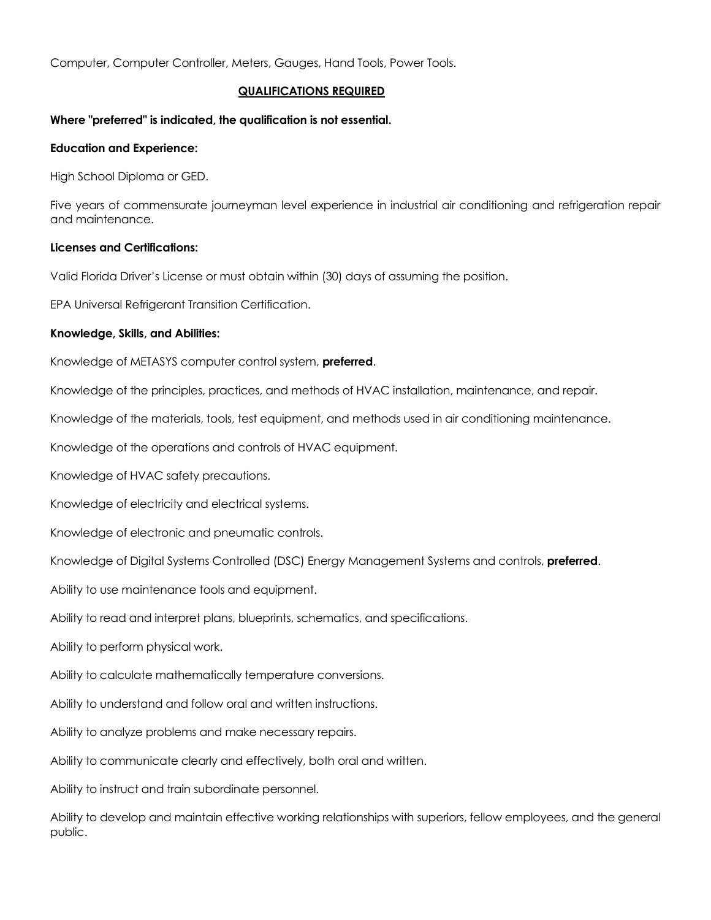Computer, Computer Controller, Meters, Gauges, Hand Tools, Power Tools.

#### **QUALIFICATIONS REQUIRED**

#### **Where "preferred" is indicated, the qualification is not essential.**

#### **Education and Experience:**

High School Diploma or GED.

Five years of commensurate journeyman level experience in industrial air conditioning and refrigeration repair and maintenance.

#### **Licenses and Certifications:**

Valid Florida Driver's License or must obtain within (30) days of assuming the position.

EPA Universal Refrigerant Transition Certification.

#### **Knowledge, Skills, and Abilities:**

Knowledge of METASYS computer control system, **preferred**.

Knowledge of the principles, practices, and methods of HVAC installation, maintenance, and repair.

Knowledge of the materials, tools, test equipment, and methods used in air conditioning maintenance.

Knowledge of the operations and controls of HVAC equipment.

Knowledge of HVAC safety precautions.

Knowledge of electricity and electrical systems.

Knowledge of electronic and pneumatic controls.

Knowledge of Digital Systems Controlled (DSC) Energy Management Systems and controls, **preferred**.

Ability to use maintenance tools and equipment.

Ability to read and interpret plans, blueprints, schematics, and specifications.

Ability to perform physical work.

Ability to calculate mathematically temperature conversions.

Ability to understand and follow oral and written instructions.

Ability to analyze problems and make necessary repairs.

Ability to communicate clearly and effectively, both oral and written.

Ability to instruct and train subordinate personnel.

Ability to develop and maintain effective working relationships with superiors, fellow employees, and the general public.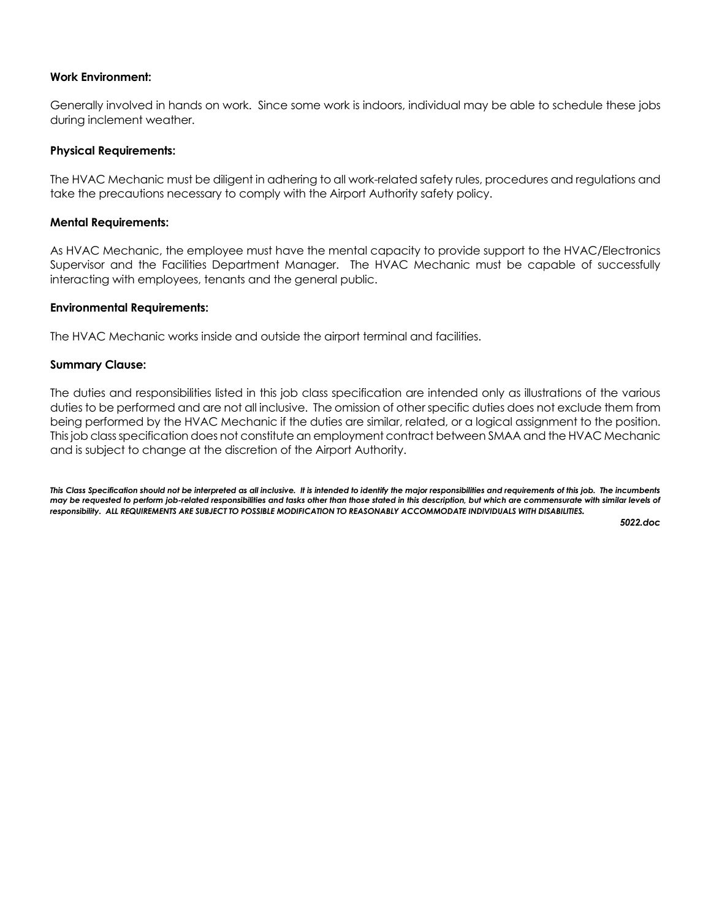#### **Work Environment:**

Generally involved in hands on work. Since some work is indoors, individual may be able to schedule these jobs during inclement weather.

#### **Physical Requirements:**

The HVAC Mechanic must be diligent in adhering to all work-related safety rules, procedures and regulations and take the precautions necessary to comply with the Airport Authority safety policy.

#### **Mental Requirements:**

As HVAC Mechanic, the employee must have the mental capacity to provide support to the HVAC/Electronics Supervisor and the Facilities Department Manager. The HVAC Mechanic must be capable of successfully interacting with employees, tenants and the general public.

#### **Environmental Requirements:**

The HVAC Mechanic works inside and outside the airport terminal and facilities.

#### **Summary Clause:**

The duties and responsibilities listed in this job class specification are intended only as illustrations of the various duties to be performed and are not all inclusive. The omission of other specific duties does not exclude them from being performed by the HVAC Mechanic if the duties are similar, related, or a logical assignment to the position. This job class specification does not constitute an employment contract between SMAA and the HVAC Mechanic and is subject to change at the discretion of the Airport Authority.

This Class Specification should not be interpreted as all inclusive. It is intended to identify the major responsibilities and requirements of this job. The incumbents *may be requested to perform job-related responsibilities and tasks other than those stated in this description, but which are commensurate with similar levels of responsibility. ALL REQUIREMENTS ARE SUBJECT TO POSSIBLE MODIFICATION TO REASONABLY ACCOMMODATE INDIVIDUALS WITH DISABILITIES.* 

 *5022.doc*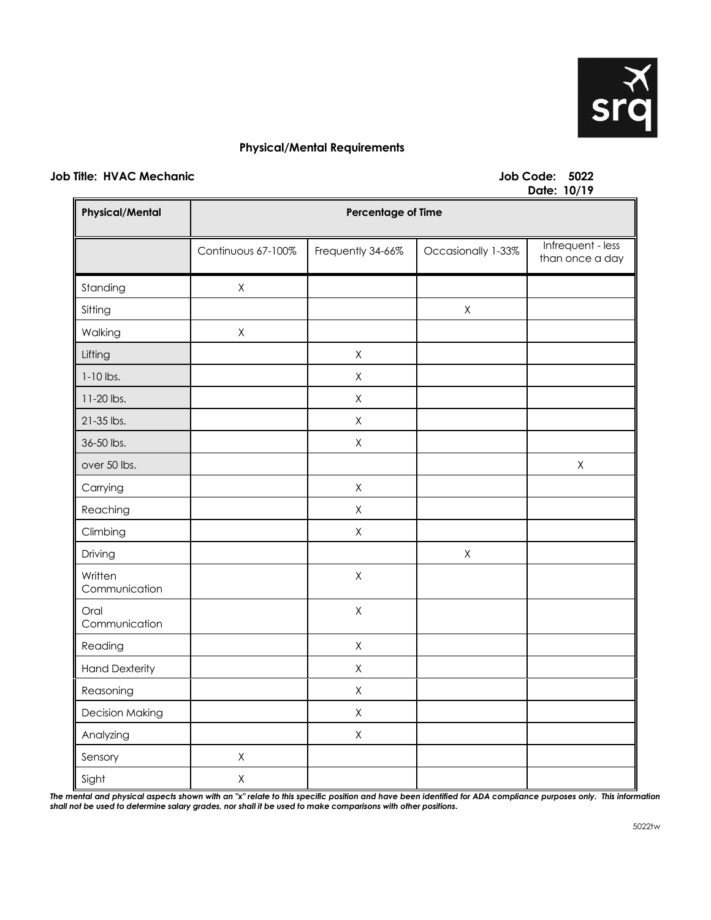

#### **Physical/Mental Requirements**

#### **Job Title: HVAC Mechanic Job Code: 5022**

# **Date: 10/19**

| <b>Physical/Mental</b>   | Pais. 19717<br>Percentage of Time |                   |                    |                                      |
|--------------------------|-----------------------------------|-------------------|--------------------|--------------------------------------|
|                          | Continuous 67-100%                | Frequently 34-66% | Occasionally 1-33% | Infrequent - less<br>than once a day |
| Standing                 | $\mathsf X$                       |                   |                    |                                      |
| Sitting                  |                                   |                   | $\mathsf X$        |                                      |
| Walking                  | $\mathsf X$                       |                   |                    |                                      |
| Lifting                  |                                   | $\mathsf X$       |                    |                                      |
| $1-10$ lbs.              |                                   | Χ                 |                    |                                      |
| 11-20 lbs.               |                                   | $\mathsf X$       |                    |                                      |
| 21-35 lbs.               |                                   | $\mathsf X$       |                    |                                      |
| 36-50 lbs.               |                                   | X                 |                    |                                      |
| over 50 lbs.             |                                   |                   |                    | $\mathsf X$                          |
| Carrying                 |                                   | Χ                 |                    |                                      |
| Reaching                 |                                   | $\mathsf X$       |                    |                                      |
| Climbing                 |                                   | $\mathsf X$       |                    |                                      |
| Driving                  |                                   |                   | $\mathsf X$        |                                      |
| Written<br>Communication |                                   | Χ                 |                    |                                      |
| Oral<br>Communication    |                                   | $\mathsf X$       |                    |                                      |
| Reading                  |                                   | Χ                 |                    |                                      |
| <b>Hand Dexterity</b>    |                                   | Χ                 |                    |                                      |
| Reasoning                |                                   | Χ                 |                    |                                      |
| <b>Decision Making</b>   |                                   | Χ                 |                    |                                      |
| Analyzing                |                                   | Χ                 |                    |                                      |
| Sensory                  | $\mathsf X$                       |                   |                    |                                      |
| Sight                    | $\mathsf X$                       |                   |                    |                                      |

The mental and physical aspects shown with an "x" relate to this specific position and have been identified for ADA compliance purposes only. This information *shall not be used to determine salary grades, nor shall it be used to make comparisons with other positions.*